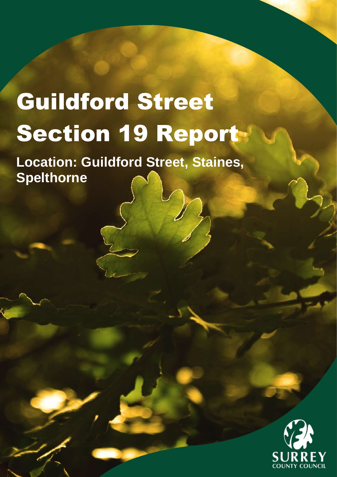# Guildford Street Section 19 Report

**Location: Guildford Street, Staines, Spelthorne**

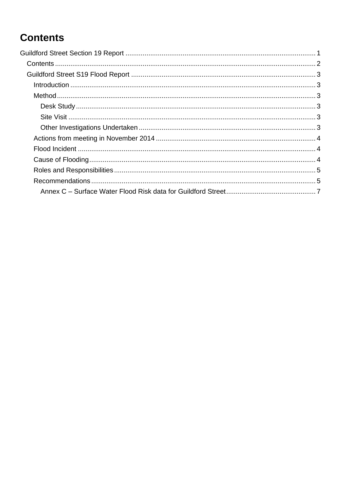# <span id="page-1-0"></span>**Contents**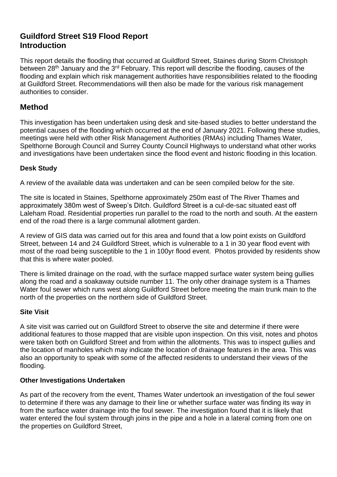## <span id="page-2-1"></span><span id="page-2-0"></span>**Guildford Street S19 Flood Report Introduction**

This report details the flooding that occurred at Guildford Street, Staines during Storm Christoph between 28<sup>th</sup> January and the 3<sup>rd</sup> February. This report will describe the flooding, causes of the flooding and explain which risk management authorities have responsibilities related to the flooding at Guildford Street. Recommendations will then also be made for the various risk management authorities to consider.

## <span id="page-2-2"></span>**Method**

This investigation has been undertaken using desk and site-based studies to better understand the potential causes of the flooding which occurred at the end of January 2021. Following these studies, meetings were held with other Risk Management Authorities (RMAs) including Thames Water, Spelthorne Borough Council and Surrey County Council Highways to understand what other works and investigations have been undertaken since the flood event and historic flooding in this location.

#### <span id="page-2-3"></span>**Desk Study**

A review of the available data was undertaken and can be seen compiled below for the site.

The site is located in Staines, Spelthorne approximately 250m east of The River Thames and approximately 380m west of Sweep's Ditch. Guildford Street is a cul-de-sac situated east off Laleham Road. Residential properties run parallel to the road to the north and south. At the eastern end of the road there is a large communal allotment garden.

A review of GIS data was carried out for this area and found that a low point exists on Guildford Street, between 14 and 24 Guildford Street, which is vulnerable to a 1 in 30 year flood event with most of the road being susceptible to the 1 in 100yr flood event. Photos provided by residents show that this is where water pooled.

There is limited drainage on the road, with the surface mapped surface water system being gullies along the road and a soakaway outside number 11. The only other drainage system is a Thames Water foul sewer which runs west along Guildford Street before meeting the main trunk main to the north of the properties on the northern side of Guildford Street.

#### <span id="page-2-4"></span>**Site Visit**

A site visit was carried out on Guildford Street to observe the site and determine if there were additional features to those mapped that are visible upon inspection. On this visit, notes and photos were taken both on Guildford Street and from within the allotments. This was to inspect gullies and the location of manholes which may indicate the location of drainage features in the area. This was also an opportunity to speak with some of the affected residents to understand their views of the flooding.

#### <span id="page-2-5"></span>**Other Investigations Undertaken**

As part of the recovery from the event, Thames Water undertook an investigation of the foul sewer to determine if there was any damage to their line or whether surface water was finding its way in from the surface water drainage into the foul sewer. The investigation found that it is likely that water entered the foul system through joins in the pipe and a hole in a lateral coming from one on the properties on Guildford Street,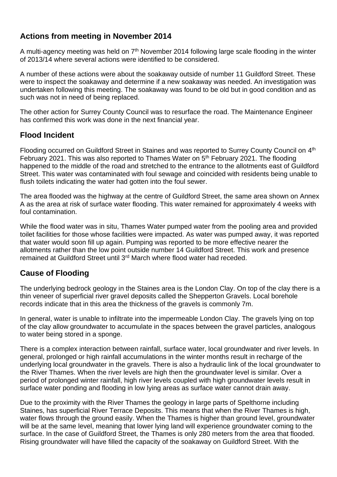# <span id="page-3-0"></span>**Actions from meeting in November 2014**

A multi-agency meeting was held on 7<sup>th</sup> November 2014 following large scale flooding in the winter of 2013/14 where several actions were identified to be considered.

A number of these actions were about the soakaway outside of number 11 Guildford Street. These were to inspect the soakaway and determine if a new soakaway was needed. An investigation was undertaken following this meeting. The soakaway was found to be old but in good condition and as such was not in need of being replaced.

The other action for Surrey County Council was to resurface the road. The Maintenance Engineer has confirmed this work was done in the next financial year.

# <span id="page-3-1"></span>**Flood Incident**

Flooding occurred on Guildford Street in Staines and was reported to Surrey County Council on 4<sup>th</sup> February 2021. This was also reported to Thames Water on 5<sup>th</sup> February 2021. The flooding happened to the middle of the road and stretched to the entrance to the allotments east of Guildford Street. This water was contaminated with foul sewage and coincided with residents being unable to flush toilets indicating the water had gotten into the foul sewer.

The area flooded was the highway at the centre of Guildford Street, the same area shown on Annex A as the area at risk of surface water flooding. This water remained for approximately 4 weeks with foul contamination.

While the flood water was in situ, Thames Water pumped water from the pooling area and provided toilet facilities for those whose facilities were impacted. As water was pumped away, it was reported that water would soon fill up again. Pumping was reported to be more effective nearer the allotments rather than the low point outside number 14 Guildford Street. This work and presence remained at Guildford Street until 3<sup>rd</sup> March where flood water had receded.

# <span id="page-3-2"></span>**Cause of Flooding**

The underlying bedrock geology in the Staines area is the London Clay. On top of the clay there is a thin veneer of superficial river gravel deposits called the Shepperton Gravels. Local borehole records indicate that in this area the thickness of the gravels is commonly 7m.

In general, water is unable to infiltrate into the impermeable London Clay. The gravels lying on top of the clay allow groundwater to accumulate in the spaces between the gravel particles, analogous to water being stored in a sponge.

There is a complex interaction between rainfall, surface water, local groundwater and river levels. In general, prolonged or high rainfall accumulations in the winter months result in recharge of the underlying local groundwater in the gravels. There is also a hydraulic link of the local groundwater to the River Thames. When the river levels are high then the groundwater level is similar. Over a period of prolonged winter rainfall, high river levels coupled with high groundwater levels result in surface water ponding and flooding in low lying areas as surface water cannot drain away.

Due to the proximity with the River Thames the geology in large parts of Spelthorne including Staines, has superficial River Terrace Deposits. This means that when the River Thames is high, water flows through the ground easily. When the Thames is higher than ground level, groundwater will be at the same level, meaning that lower lying land will experience groundwater coming to the surface. In the case of Guildford Street, the Thames is only 280 meters from the area that flooded. Rising groundwater will have filled the capacity of the soakaway on Guildford Street. With the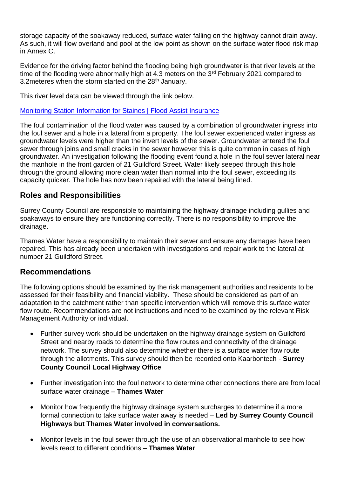storage capacity of the soakaway reduced, surface water falling on the highway cannot drain away. As such, it will flow overland and pool at the low point as shown on the surface water flood risk map in Annex C.

Evidence for the driving factor behind the flooding being high groundwater is that river levels at the time of the flooding were abnormally high at 4.3 meters on the 3<sup>rd</sup> February 2021 compared to 3.2 meteres when the storm started on the  $28<sup>th</sup>$  January.

This river level data can be viewed through the link below.

[Monitoring Station Information for Staines | Flood Assist Insurance](https://floodassist.co.uk/river-data/gauges/surrey/2900th-level-stage-i-15_min-masd/staines)

The foul contamination of the flood water was caused by a combination of groundwater ingress into the foul sewer and a hole in a lateral from a property. The foul sewer experienced water ingress as groundwater levels were higher than the invert levels of the sewer. Groundwater entered the foul sewer through joins and small cracks in the sewer however this is quite common in cases of high groundwater. An investigation following the flooding event found a hole in the foul sewer lateral near the manhole in the front garden of 21 Guildford Street. Water likely seeped through this hole through the ground allowing more clean water than normal into the foul sewer, exceeding its capacity quicker. The hole has now been repaired with the lateral being lined.

### <span id="page-4-0"></span>**Roles and Responsibilities**

Surrey County Council are responsible to maintaining the highway drainage including gullies and soakaways to ensure they are functioning correctly. There is no responsibility to improve the drainage.

Thames Water have a responsibility to maintain their sewer and ensure any damages have been repaired. This has already been undertaken with investigations and repair work to the lateral at number 21 Guildford Street.

#### <span id="page-4-1"></span>**Recommendations**

The following options should be examined by the risk management authorities and residents to be assessed for their feasibility and financial viability. These should be considered as part of an adaptation to the catchment rather than specific intervention which will remove this surface water flow route. Recommendations are not instructions and need to be examined by the relevant Risk Management Authority or individual.

- Further survey work should be undertaken on the highway drainage system on Guildford Street and nearby roads to determine the flow routes and connectivity of the drainage network. The survey should also determine whether there is a surface water flow route through the allotments. This survey should then be recorded onto Kaarbontech - **Surrey County Council Local Highway Office**
- Further investigation into the foul network to determine other connections there are from local surface water drainage – **Thames Water**
- Monitor how frequently the highway drainage system surcharges to determine if a more formal connection to take surface water away is needed – **Led by Surrey County Council Highways but Thames Water involved in conversations.**
- Monitor levels in the foul sewer through the use of an observational manhole to see how levels react to different conditions – **Thames Water**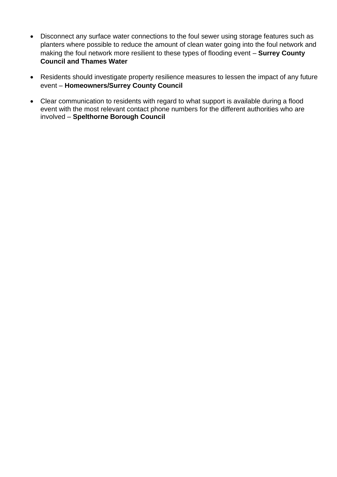- Disconnect any surface water connections to the foul sewer using storage features such as planters where possible to reduce the amount of clean water going into the foul network and making the foul network more resilient to these types of flooding event – **Surrey County Council and Thames Water**
- Residents should investigate property resilience measures to lessen the impact of any future event – **Homeowners/Surrey County Council**
- Clear communication to residents with regard to what support is available during a flood event with the most relevant contact phone numbers for the different authorities who are involved – **Spelthorne Borough Council**